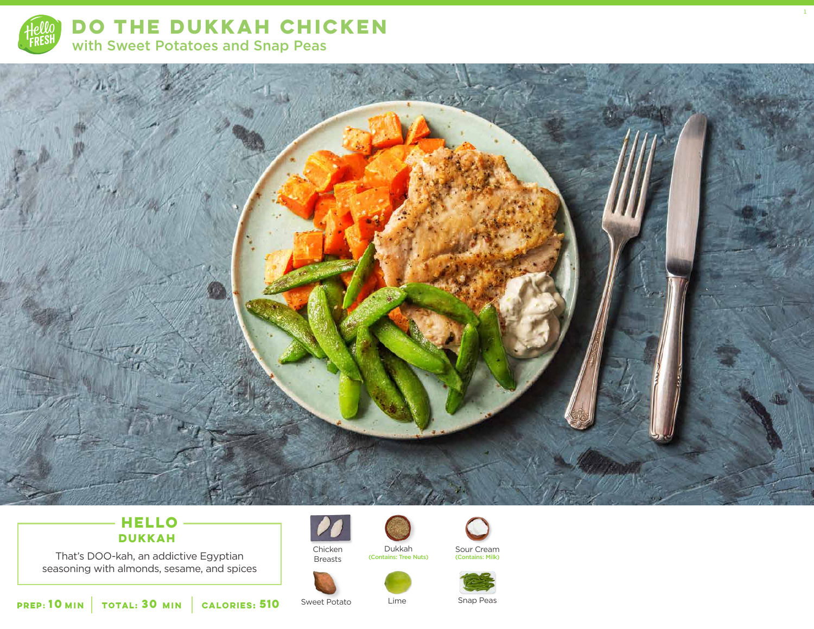

**DO THE DUKKAH CHICKEN**  with Sweet Potatoes and Snap Peas



## **HELLO DUKKAH**

That's DOO-kah, an addictive Egyptian seasoning with almonds, sesame, and spices



Chicken Breasts

(Contains: Tree Nuts)



1

Dukkah Sour Cream<br>
Sour Cream<br>
(Contains: Milk)



**10 30 MIN MIN CALORIES:510** Sweet Potato Lime Snap Peas